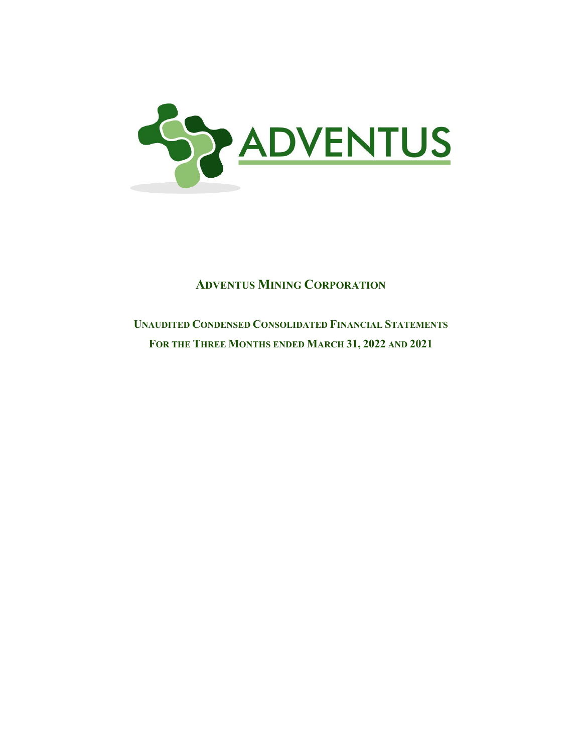

# **UNAUDITED CONDENSED CONSOLIDATED FINANCIAL STATEMENTS FOR THE THREE MONTHS ENDED MARCH 31, 2022 AND 2021**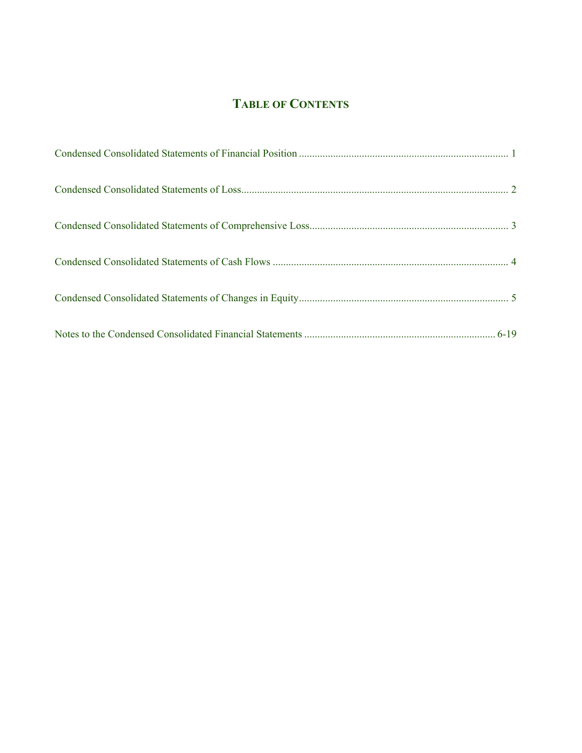# **TABLE OF CONTENTS**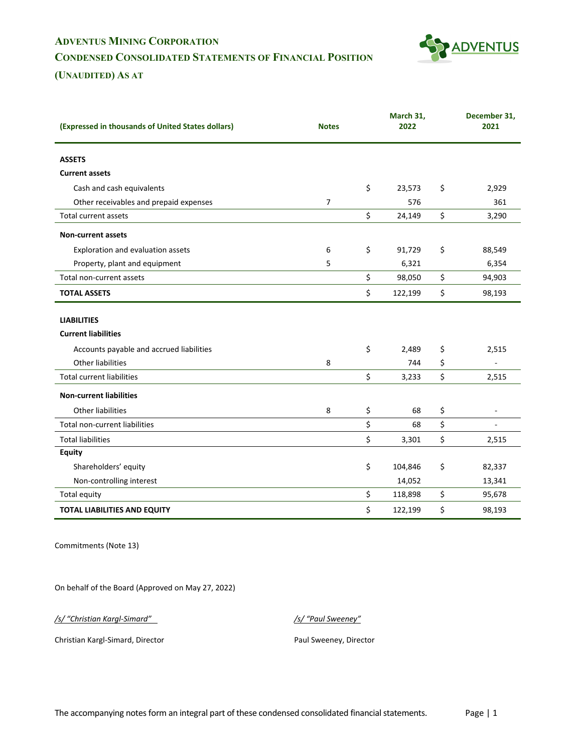# **ADVENTUS MINING CORPORATION CONDENSED CONSOLIDATED STATEMENTS OF FINANCIAL POSITION**



**(UNAUDITED) AS AT** 

| (Expressed in thousands of United States dollars) | <b>Notes</b>   | March 31,<br>2022 | December 31,<br>2021           |
|---------------------------------------------------|----------------|-------------------|--------------------------------|
|                                                   |                |                   |                                |
| <b>ASSETS</b>                                     |                |                   |                                |
| <b>Current assets</b>                             |                |                   |                                |
| Cash and cash equivalents                         |                | \$<br>23,573      | \$<br>2,929                    |
| Other receivables and prepaid expenses            | $\overline{7}$ | 576               | 361                            |
| <b>Total current assets</b>                       |                | \$<br>24,149      | \$<br>3,290                    |
| <b>Non-current assets</b>                         |                |                   |                                |
| Exploration and evaluation assets                 | 6              | \$<br>91,729      | \$<br>88,549                   |
| Property, plant and equipment                     | 5              | 6,321             | 6,354                          |
| Total non-current assets                          |                | \$<br>98,050      | \$<br>94,903                   |
| <b>TOTAL ASSETS</b>                               |                | \$<br>122,199     | \$<br>98,193                   |
|                                                   |                |                   |                                |
| <b>LIABILITIES</b>                                |                |                   |                                |
| <b>Current liabilities</b>                        |                |                   |                                |
| Accounts payable and accrued liabilities          |                | \$<br>2,489       | \$<br>2,515                    |
| Other liabilities                                 | 8              | 744               | \$                             |
| <b>Total current liabilities</b>                  |                | \$<br>3,233       | \$<br>2,515                    |
| <b>Non-current liabilities</b>                    |                |                   |                                |
| <b>Other liabilities</b>                          | 8              | \$<br>68          | \$<br>$\overline{\phantom{a}}$ |
| Total non-current liabilities                     |                | \$<br>68          | \$<br>$\sim$                   |
| <b>Total liabilities</b>                          |                | \$<br>3,301       | \$<br>2,515                    |
| <b>Equity</b>                                     |                |                   |                                |
| Shareholders' equity                              |                | \$<br>104,846     | \$<br>82,337                   |
| Non-controlling interest                          |                | 14,052            | 13,341                         |
| <b>Total equity</b>                               |                | \$<br>118,898     | \$<br>95,678                   |
| <b>TOTAL LIABILITIES AND EQUITY</b>               |                | \$<br>122,199     | \$<br>98,193                   |

Commitments (Note 13)

On behalf of the Board (Approved on May 27, 2022)

*/s/ "Christian Kargl-Simard" /s/ "Paul Sweeney"*

Christian Kargl-Simard, Director **Paul Sweeney, Director** Paul Sweeney, Director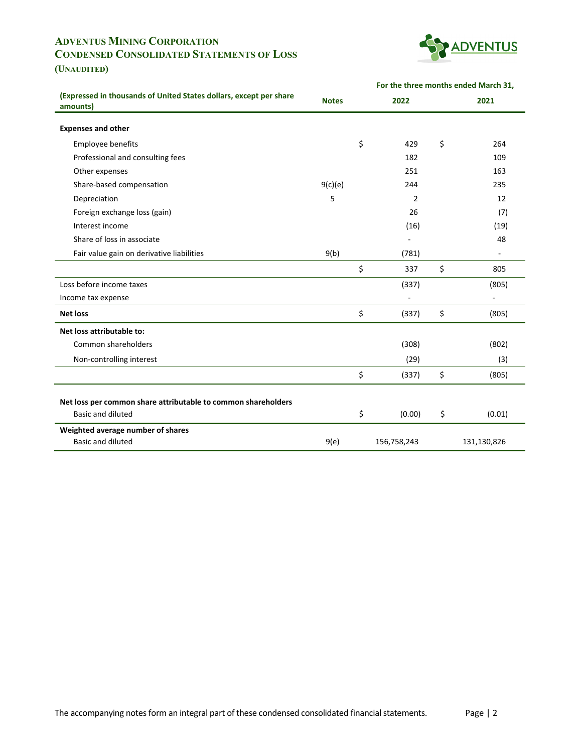# **ADVENTUS MINING CORPORATION CONDENSED CONSOLIDATED STATEMENTS OF LOSS**



**For the three months ended March 31,**

## **(UNAUDITED)**

| (Expressed in thousands of United States dollars, except per share<br>amounts)     | <b>Notes</b> | 2022         | 2021 |             |  |  |
|------------------------------------------------------------------------------------|--------------|--------------|------|-------------|--|--|
| <b>Expenses and other</b>                                                          |              |              |      |             |  |  |
| Employee benefits                                                                  |              | \$<br>429    | \$   | 264         |  |  |
| Professional and consulting fees                                                   |              | 182          |      | 109         |  |  |
| Other expenses                                                                     |              | 251          |      | 163         |  |  |
| Share-based compensation                                                           | 9(c)(e)      | 244          |      | 235         |  |  |
| Depreciation                                                                       | 5            | 2            |      | 12          |  |  |
| Foreign exchange loss (gain)                                                       |              | 26           |      | (7)         |  |  |
| Interest income                                                                    |              | (16)         |      | (19)        |  |  |
| Share of loss in associate                                                         |              |              |      | 48          |  |  |
| Fair value gain on derivative liabilities                                          | 9(b)         | (781)        |      |             |  |  |
|                                                                                    |              | \$<br>337    | \$   | 805         |  |  |
| Loss before income taxes                                                           |              | (337)        |      | (805)       |  |  |
| Income tax expense                                                                 |              |              |      |             |  |  |
| <b>Net loss</b>                                                                    |              | \$<br>(337)  | \$   | (805)       |  |  |
| Net loss attributable to:                                                          |              |              |      |             |  |  |
| Common shareholders                                                                |              | (308)        |      | (802)       |  |  |
| Non-controlling interest                                                           |              | (29)         |      | (3)         |  |  |
|                                                                                    |              | \$<br>(337)  | \$   | (805)       |  |  |
|                                                                                    |              |              |      |             |  |  |
| Net loss per common share attributable to common shareholders<br>Basic and diluted |              |              |      |             |  |  |
|                                                                                    |              | \$<br>(0.00) | \$   | (0.01)      |  |  |
| Weighted average number of shares<br>Basic and diluted                             |              |              |      |             |  |  |
|                                                                                    | 9(e)         | 156,758,243  |      | 131,130,826 |  |  |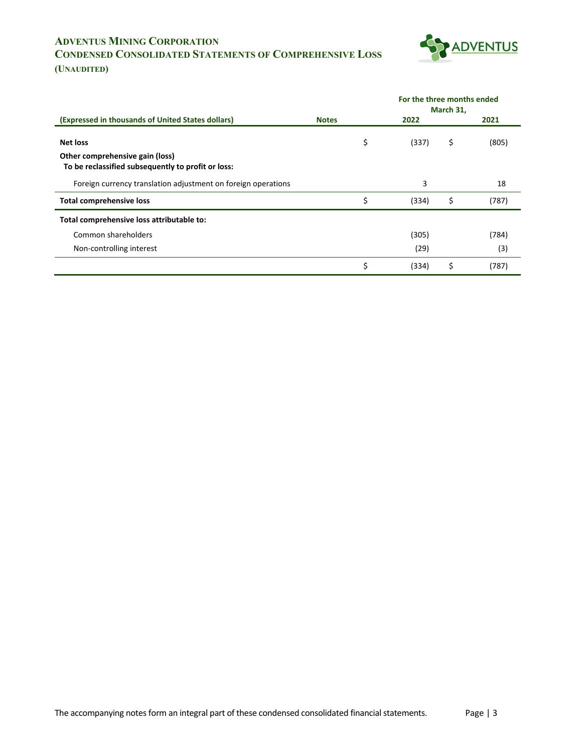# **ADVENTUS MINING CORPORATION CONDENSED CONSOLIDATED STATEMENTS OF COMPREHENSIVE LOSS**



**(UNAUDITED)**

|                                                                                       |              |       |           | For the three months ended |
|---------------------------------------------------------------------------------------|--------------|-------|-----------|----------------------------|
|                                                                                       |              |       | March 31, |                            |
| (Expressed in thousands of United States dollars)                                     | <b>Notes</b> | 2022  |           | 2021                       |
| <b>Net loss</b>                                                                       | \$           | (337) | \$        | (805)                      |
| Other comprehensive gain (loss)<br>To be reclassified subsequently to profit or loss: |              |       |           |                            |
| Foreign currency translation adjustment on foreign operations                         |              | 3     |           | 18                         |
| <b>Total comprehensive loss</b>                                                       | \$           | (334) | \$        | (787)                      |
| Total comprehensive loss attributable to:                                             |              |       |           |                            |
| Common shareholders                                                                   |              | (305) |           | (784)                      |
| Non-controlling interest                                                              |              | (29)  |           | (3)                        |
|                                                                                       | \$           | (334) | Ś         | (787)                      |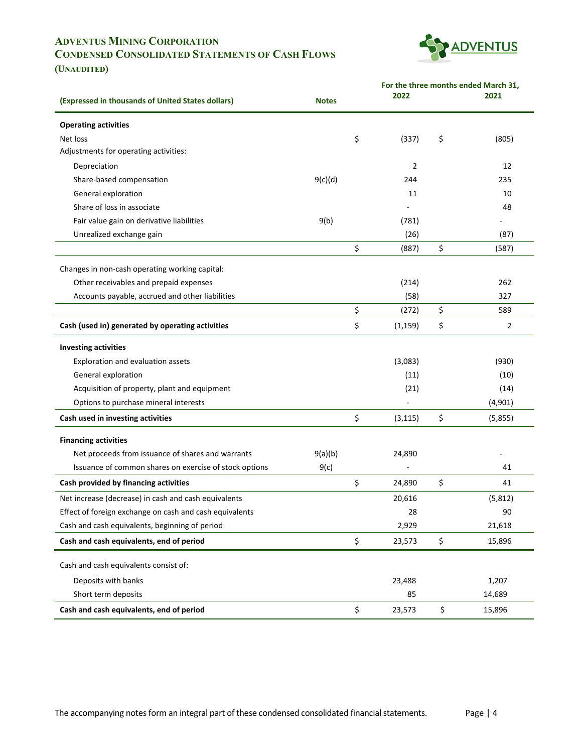# **ADVENTUS MINING CORPORATION CONDENSED CONSOLIDATED STATEMENTS OF CASH FLOWS**



**(UNAUDITED)**

|                                                         |              | For the three months ended March 31,<br>2022<br>2021 |    |          |  |  |  |  |
|---------------------------------------------------------|--------------|------------------------------------------------------|----|----------|--|--|--|--|
| (Expressed in thousands of United States dollars)       | <b>Notes</b> |                                                      |    |          |  |  |  |  |
| <b>Operating activities</b>                             |              |                                                      |    |          |  |  |  |  |
| Net loss                                                |              | \$<br>(337)                                          | \$ | (805)    |  |  |  |  |
| Adjustments for operating activities:                   |              |                                                      |    |          |  |  |  |  |
| Depreciation                                            |              | 2                                                    |    | 12       |  |  |  |  |
| Share-based compensation                                | 9(c)(d)      | 244                                                  |    | 235      |  |  |  |  |
| General exploration                                     |              | 11                                                   |    | 10       |  |  |  |  |
| Share of loss in associate                              |              |                                                      |    | 48       |  |  |  |  |
| Fair value gain on derivative liabilities               | 9(b)         | (781)                                                |    |          |  |  |  |  |
| Unrealized exchange gain                                |              | (26)                                                 |    | (87)     |  |  |  |  |
|                                                         |              | \$<br>(887)                                          | \$ | (587)    |  |  |  |  |
| Changes in non-cash operating working capital:          |              |                                                      |    |          |  |  |  |  |
| Other receivables and prepaid expenses                  |              | (214)                                                |    | 262      |  |  |  |  |
| Accounts payable, accrued and other liabilities         |              | (58)                                                 |    | 327      |  |  |  |  |
|                                                         |              | \$<br>(272)                                          | \$ | 589      |  |  |  |  |
| Cash (used in) generated by operating activities        |              | \$<br>(1, 159)                                       | \$ | 2        |  |  |  |  |
| <b>Investing activities</b>                             |              |                                                      |    |          |  |  |  |  |
| Exploration and evaluation assets                       |              | (3,083)                                              |    | (930)    |  |  |  |  |
| General exploration                                     |              | (11)                                                 |    | (10)     |  |  |  |  |
| Acquisition of property, plant and equipment            |              | (21)                                                 |    | (14)     |  |  |  |  |
| Options to purchase mineral interests                   |              |                                                      |    | (4,901)  |  |  |  |  |
| Cash used in investing activities                       |              | \$<br>(3, 115)                                       | \$ | (5,855)  |  |  |  |  |
| <b>Financing activities</b>                             |              |                                                      |    |          |  |  |  |  |
| Net proceeds from issuance of shares and warrants       | 9(a)(b)      | 24,890                                               |    |          |  |  |  |  |
| Issuance of common shares on exercise of stock options  | 9(c)         |                                                      |    | 41       |  |  |  |  |
| Cash provided by financing activities                   |              | \$<br>24,890                                         | \$ | 41       |  |  |  |  |
| Net increase (decrease) in cash and cash equivalents    |              | 20,616                                               |    | (5, 812) |  |  |  |  |
| Effect of foreign exchange on cash and cash equivalents |              | 28                                                   |    | 90       |  |  |  |  |
| Cash and cash equivalents, beginning of period          |              | 2,929                                                |    | 21,618   |  |  |  |  |
| Cash and cash equivalents, end of period                |              | \$<br>23,573                                         | \$ | 15,896   |  |  |  |  |
| Cash and cash equivalents consist of:                   |              |                                                      |    |          |  |  |  |  |
| Deposits with banks                                     |              | 23,488                                               |    | 1,207    |  |  |  |  |
| Short term deposits                                     |              | 85                                                   |    | 14,689   |  |  |  |  |
| Cash and cash equivalents, end of period                |              | \$<br>23,573                                         | \$ | 15,896   |  |  |  |  |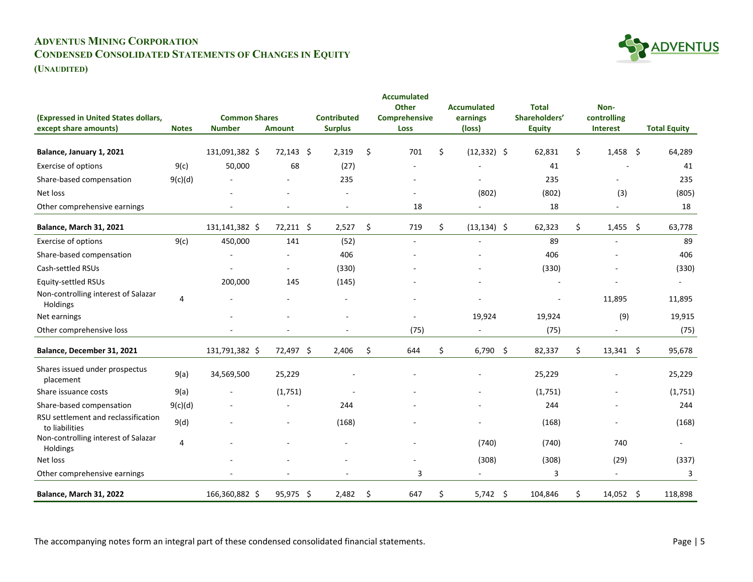# **ADVENTUS MINING CORPORATION CONDENSED CONSOLIDATED STATEMENTS OF CHANGES IN EQUITY**



**(UNAUDITED)**

| (Expressed in United States dollars,                  |                | <b>Common Shares</b> |               | <b>Contributed</b> | <b>Accumulated</b><br><b>Other</b><br>Comprehensive | <b>Accumulated</b><br>earnings | <b>Total</b><br>Shareholders' |    | Non-<br>controlling      |     |                          |
|-------------------------------------------------------|----------------|----------------------|---------------|--------------------|-----------------------------------------------------|--------------------------------|-------------------------------|----|--------------------------|-----|--------------------------|
| except share amounts)                                 | <b>Notes</b>   | <b>Number</b>        | <b>Amount</b> | <b>Surplus</b>     | <b>Loss</b>                                         | (loss)                         | <b>Equity</b>                 |    | Interest                 |     | <b>Total Equity</b>      |
| Balance, January 1, 2021                              |                | 131,091,382 \$       | $72,143$ \$   | 2,319              | \$<br>701                                           | \$<br>$(12, 332)$ \$           | 62,831                        | \$ | $1,458$ \$               |     | 64,289                   |
| <b>Exercise of options</b>                            | 9(c)           | 50,000               | 68            | (27)               |                                                     |                                | 41                            |    |                          |     | 41                       |
| Share-based compensation                              | 9(c)(d)        |                      |               | 235                |                                                     |                                | 235                           |    |                          |     | 235                      |
| Net loss                                              |                |                      |               |                    | ÷,                                                  | (802)                          | (802)                         |    | (3)                      |     | (805)                    |
| Other comprehensive earnings                          |                |                      |               | $\sim$             | 18                                                  | $\sim$                         | 18                            |    | $\sim$                   |     | 18                       |
| <b>Balance, March 31, 2021</b>                        |                | 131,141,382 \$       | 72,211 \$     | 2,527              | \$<br>719                                           | \$<br>$(13, 134)$ \$           | 62,323                        | \$ | 1,455                    | -\$ | 63,778                   |
| <b>Exercise of options</b>                            | 9(c)           | 450,000              | 141           | (52)               | $\overline{a}$                                      |                                | 89                            |    |                          |     | 89                       |
| Share-based compensation                              |                |                      |               | 406                |                                                     |                                | 406                           |    |                          |     | 406                      |
| Cash-settled RSUs                                     |                |                      | ÷.            | (330)              |                                                     |                                | (330)                         |    |                          |     | (330)                    |
| <b>Equity-settled RSUs</b>                            |                | 200,000              | 145           | (145)              |                                                     |                                |                               |    |                          |     |                          |
| Non-controlling interest of Salazar<br>Holdings       | 4              |                      |               |                    |                                                     |                                | $\overline{a}$                |    | 11,895                   |     | 11,895                   |
| Net earnings                                          |                |                      |               |                    |                                                     | 19,924                         | 19,924                        |    | (9)                      |     | 19,915                   |
| Other comprehensive loss                              |                |                      |               |                    | (75)                                                | $\overline{\phantom{a}}$       | (75)                          |    | $\overline{\phantom{a}}$ |     | (75)                     |
| Balance, December 31, 2021                            |                | 131,791,382 \$       | 72,497 \$     | 2,406              | \$<br>644                                           | \$<br>$6,790$ \$               | 82,337                        | \$ | $13,341$ \$              |     | 95,678                   |
| Shares issued under prospectus<br>placement           | 9(a)           | 34,569,500           | 25,229        |                    |                                                     |                                | 25,229                        |    |                          |     | 25,229                   |
| Share issuance costs                                  | 9(a)           |                      | (1,751)       |                    |                                                     |                                | (1,751)                       |    |                          |     | (1,751)                  |
| Share-based compensation                              | 9(c)(d)        |                      |               | 244                |                                                     |                                | 244                           |    |                          |     | 244                      |
| RSU settlement and reclassification<br>to liabilities | 9(d)           |                      |               | (168)              |                                                     |                                | (168)                         |    | ۰                        |     | (168)                    |
| Non-controlling interest of Salazar<br>Holdings       | $\overline{4}$ |                      |               |                    |                                                     | (740)                          | (740)                         |    | 740                      |     | $\overline{\phantom{0}}$ |
| Net loss                                              |                |                      |               |                    |                                                     | (308)                          | (308)                         |    | (29)                     |     | (337)                    |
| Other comprehensive earnings                          |                |                      |               |                    | 3                                                   |                                | 3                             |    | $\overline{\phantom{a}}$ |     | 3                        |
| Balance, March 31, 2022                               |                | 166,360,882 \$       | 95,975 \$     | 2,482              | \$<br>647                                           | \$<br>$5,742$ \$               | 104,846                       | Ś. | $14,052$ \$              |     | 118,898                  |

The accompanying notes form an integral part of these condensed consolidated financial statements. Page | 5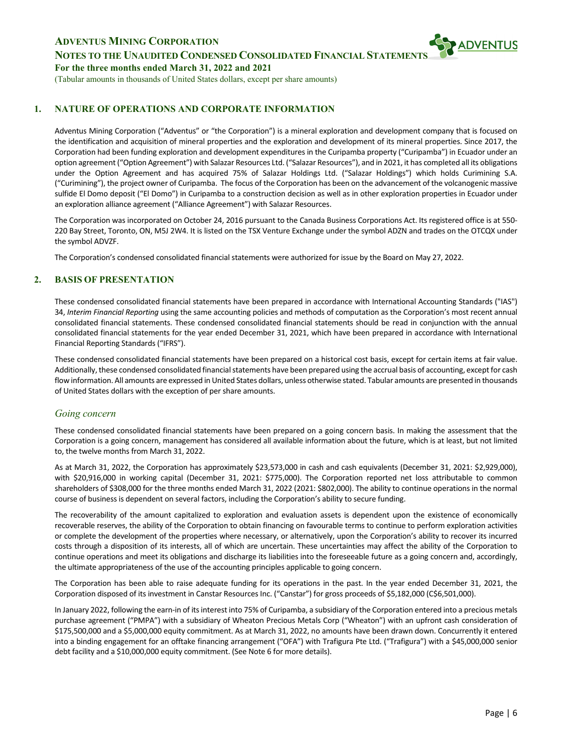**NOTES TO THE UNAUDITED CONDENSED CONSOLIDATED FINANCIAL STATEMENT** 





## **1. NATURE OF OPERATIONS AND CORPORATE INFORMATION**

Adventus Mining Corporation ("Adventus" or "the Corporation") is a mineral exploration and development company that is focused on the identification and acquisition of mineral properties and the exploration and development of its mineral properties. Since 2017, the Corporation had been funding exploration and development expenditures in the Curipamba property ("Curipamba") in Ecuador under an option agreement ("Option Agreement") with Salazar Resources Ltd. ("Salazar Resources"), and in 2021, it has completed all its obligations under the Option Agreement and has acquired 75% of Salazar Holdings Ltd. ("Salazar Holdings") which holds Curimining S.A. ("Curimining"), the project owner of Curipamba. The focus of the Corporation has been on the advancement of the volcanogenic massive sulfide El Domo deposit ("El Domo") in Curipamba to a construction decision as well as in other exploration properties in Ecuador under an exploration alliance agreement ("Alliance Agreement") with Salazar Resources.

The Corporation was incorporated on October 24, 2016 pursuant to the Canada Business Corporations Act. Its registered office is at 550- 220 Bay Street, Toronto, ON, M5J 2W4. It is listed on the TSX Venture Exchange under the symbol ADZN and trades on the OTCQX under the symbol ADVZF.

The Corporation's condensed consolidated financial statements were authorized for issue by the Board on May 27, 2022.

### **2. BASIS OF PRESENTATION**

These condensed consolidated financial statements have been prepared in accordance with International Accounting Standards ("IAS") 34, *Interim Financial Reporting* using the same accounting policies and methods of computation as the Corporation's most recent annual consolidated financial statements. These condensed consolidated financial statements should be read in conjunction with the annual consolidated financial statements for the year ended December 31, 2021, which have been prepared in accordance with International Financial Reporting Standards ("IFRS").

These condensed consolidated financial statements have been prepared on a historical cost basis, except for certain items at fair value. Additionally, these condensed consolidated financial statements have been prepared using the accrual basis of accounting, except for cash flow information. All amounts are expressed in United States dollars, unless otherwise stated. Tabular amounts are presented in thousands of United States dollars with the exception of per share amounts.

#### *Going concern*

These condensed consolidated financial statements have been prepared on a going concern basis. In making the assessment that the Corporation is a going concern, management has considered all available information about the future, which is at least, but not limited to, the twelve months from March 31, 2022.

As at March 31, 2022, the Corporation has approximately \$23,573,000 in cash and cash equivalents (December 31, 2021: \$2,929,000), with \$20,916,000 in working capital (December 31, 2021: \$775,000). The Corporation reported net loss attributable to common shareholders of \$308,000 for the three months ended March 31, 2022 (2021: \$802,000). The ability to continue operations in the normal course of business is dependent on several factors, including the Corporation's ability to secure funding.

The recoverability of the amount capitalized to exploration and evaluation assets is dependent upon the existence of economically recoverable reserves, the ability of the Corporation to obtain financing on favourable terms to continue to perform exploration activities or complete the development of the properties where necessary, or alternatively, upon the Corporation's ability to recover its incurred costs through a disposition of its interests, all of which are uncertain. These uncertainties may affect the ability of the Corporation to continue operations and meet its obligations and discharge its liabilities into the foreseeable future as a going concern and, accordingly, the ultimate appropriateness of the use of the accounting principles applicable to going concern.

The Corporation has been able to raise adequate funding for its operations in the past. In the year ended December 31, 2021, the Corporation disposed of its investment in Canstar Resources Inc. ("Canstar") for gross proceeds of \$5,182,000 (C\$6,501,000).

In January 2022, following the earn-in of its interest into 75% of Curipamba, a subsidiary of the Corporation entered into a precious metals purchase agreement ("PMPA") with a subsidiary of Wheaton Precious Metals Corp ("Wheaton") with an upfront cash consideration of \$175,500,000 and a \$5,000,000 equity commitment. As at March 31, 2022, no amounts have been drawn down. Concurrently it entered into a binding engagement for an offtake financing arrangement ("OFA") with Trafigura Pte Ltd. ("Trafigura") with a \$45,000,000 senior debt facility and a \$10,000,000 equity commitment. (See Note 6 for more details).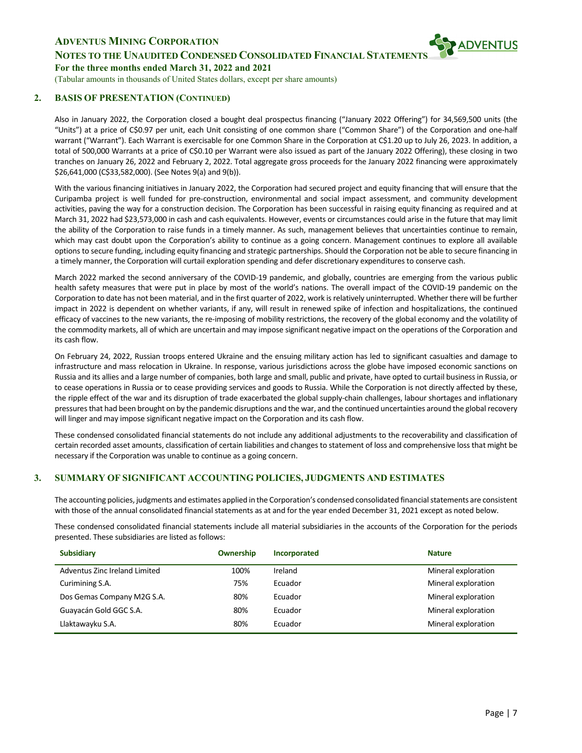

# **NOTES TO THE UNAUDITED CONDENSED CONSOLIDATED FINANCIAL STATEMENT**

**For the three months ended March 31, 2022 and 2021**

(Tabular amounts in thousands of United States dollars, except per share amounts)

### **2. BASIS OF PRESENTATION (CONTINUED)**

Also in January 2022, the Corporation closed a bought deal prospectus financing ("January 2022 Offering") for 34,569,500 units (the "Units") at a price of C\$0.97 per unit, each Unit consisting of one common share ("Common Share") of the Corporation and one-half warrant ("Warrant"). Each Warrant is exercisable for one Common Share in the Corporation at C\$1.20 up to July 26, 2023. In addition, a total of 500,000 Warrants at a price of C\$0.10 per Warrant were also issued as part of the January 2022 Offering), these closing in two tranches on January 26, 2022 and February 2, 2022. Total aggregate gross proceeds for the January 2022 financing were approximately \$26,641,000 (C\$33,582,000). (See Notes 9(a) and 9(b)).

With the various financing initiatives in January 2022, the Corporation had secured project and equity financing that will ensure that the Curipamba project is well funded for pre-construction, environmental and social impact assessment, and community development activities, paving the way for a construction decision. The Corporation has been successful in raising equity financing as required and at March 31, 2022 had \$23,573,000 in cash and cash equivalents. However, events or circumstances could arise in the future that may limit the ability of the Corporation to raise funds in a timely manner. As such, management believes that uncertainties continue to remain, which may cast doubt upon the Corporation's ability to continue as a going concern. Management continues to explore all available options to secure funding, including equity financing and strategic partnerships. Should the Corporation not be able to secure financing in a timely manner, the Corporation will curtail exploration spending and defer discretionary expenditures to conserve cash.

March 2022 marked the second anniversary of the COVID-19 pandemic, and globally, countries are emerging from the various public health safety measures that were put in place by most of the world's nations. The overall impact of the COVID-19 pandemic on the Corporation to date has not been material, and in the first quarter of 2022, work is relatively uninterrupted. Whether there will be further impact in 2022 is dependent on whether variants, if any, will result in renewed spike of infection and hospitalizations, the continued efficacy of vaccines to the new variants, the re-imposing of mobility restrictions, the recovery of the global economy and the volatility of the commodity markets, all of which are uncertain and may impose significant negative impact on the operations of the Corporation and its cash flow.

On February 24, 2022, Russian troops entered Ukraine and the ensuing military action has led to significant casualties and damage to infrastructure and mass relocation in Ukraine. In response, various jurisdictions across the globe have imposed economic sanctions on Russia and its allies and a large number of companies, both large and small, public and private, have opted to curtail business in Russia, or to cease operations in Russia or to cease providing services and goods to Russia. While the Corporation is not directly affected by these, the ripple effect of the war and its disruption of trade exacerbated the global supply-chain challenges, labour shortages and inflationary pressures that had been brought on by the pandemic disruptions and the war, and the continued uncertainties around the global recovery will linger and may impose significant negative impact on the Corporation and its cash flow.

These condensed consolidated financial statements do not include any additional adjustments to the recoverability and classification of certain recorded asset amounts, classification of certain liabilities and changes to statement of loss and comprehensive loss that might be necessary if the Corporation was unable to continue as a going concern.

## **3. SUMMARY OF SIGNIFICANT ACCOUNTING POLICIES, JUDGMENTS AND ESTIMATES**

The accounting policies, judgments and estimates applied in the Corporation's condensed consolidated financial statements are consistent with those of the annual consolidated financial statements as at and for the year ended December 31, 2021 except as noted below.

These condensed consolidated financial statements include all material subsidiaries in the accounts of the Corporation for the periods presented. These subsidiaries are listed as follows:

| <b>Subsidiary</b>             | <b>Ownership</b> | Incorporated | <b>Nature</b>       |
|-------------------------------|------------------|--------------|---------------------|
| Adventus Zinc Ireland Limited | 100%             | Ireland      | Mineral exploration |
| Curimining S.A.               | 75%              | Ecuador      | Mineral exploration |
| Dos Gemas Company M2G S.A.    | 80%              | Ecuador      | Mineral exploration |
| Guayacán Gold GGC S.A.        | 80%              | Ecuador      | Mineral exploration |
| Llaktawayku S.A.              | 80%              | Ecuador      | Mineral exploration |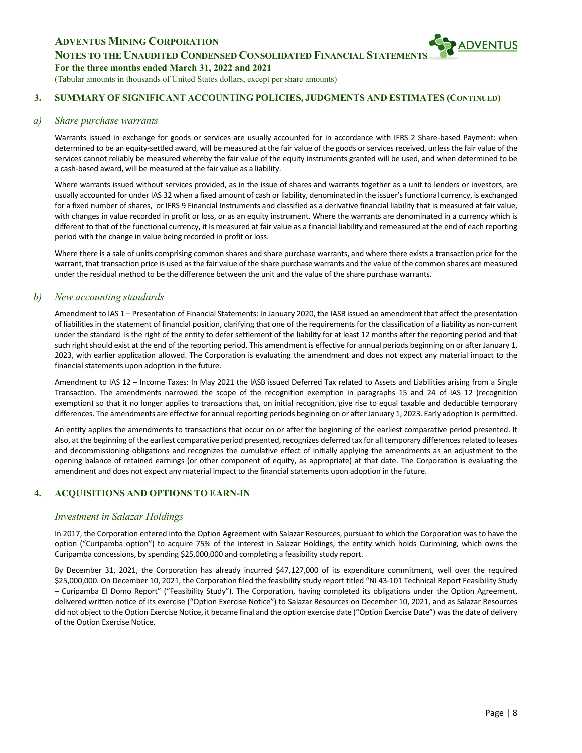**NOTES TO THE UNAUDITED CONDENSED CONSOLIDATED FINANCIAL STATEMENT** 

#### **For the three months ended March 31, 2022 and 2021**

(Tabular amounts in thousands of United States dollars, except per share amounts)

## **3. SUMMARY OF SIGNIFICANT ACCOUNTING POLICIES, JUDGMENTS AND ESTIMATES (CONTINUED)**

#### *a) Share purchase warrants*

Warrants issued in exchange for goods or services are usually accounted for in accordance with IFRS 2 Share-based Payment: when determined to be an equity-settled award, will be measured at the fair value of the goods or services received, unless the fair value of the services cannot reliably be measured whereby the fair value of the equity instruments granted will be used, and when determined to be a cash-based award, will be measured at the fair value as a liability.

Where warrants issued without services provided, as in the issue of shares and warrants together as a unit to lenders or investors, are usually accounted for under IAS 32 when a fixed amount of cash or liability, denominated in the issuer's functional currency, is exchanged for a fixed number of shares, or IFRS 9 Financial Instruments and classified as a derivative financial liability that is measured at fair value, with changes in value recorded in profit or loss, or as an equity instrument. Where the warrants are denominated in a currency which is different to that of the functional currency, it Is measured at fair value as a financial liability and remeasured at the end of each reporting period with the change in value being recorded in profit or loss.

Where there is a sale of units comprising common shares and share purchase warrants, and where there exists a transaction price for the warrant, that transaction price is used as the fair value of the share purchase warrants and the value of the common shares are measured under the residual method to be the difference between the unit and the value of the share purchase warrants.

### *b) New accounting standards*

Amendment to IAS 1 – Presentation of Financial Statements: In January 2020, the IASB issued an amendment that affect the presentation of liabilities in the statement of financial position, clarifying that one of the requirements for the classification of a liability as non-current under the standard is the right of the entity to defer settlement of the liability for at least 12 months after the reporting period and that such right should exist at the end of the reporting period. This amendment is effective for annual periods beginning on or after January 1, 2023, with earlier application allowed. The Corporation is evaluating the amendment and does not expect any material impact to the financial statements upon adoption in the future.

Amendment to IAS 12 – Income Taxes: In May 2021 the IASB issued Deferred Tax related to Assets and Liabilities arising from a Single Transaction. The amendments narrowed the scope of the recognition exemption in paragraphs 15 and 24 of IAS 12 (recognition exemption) so that it no longer applies to transactions that, on initial recognition, give rise to equal taxable and deductible temporary differences. The amendments are effective for annual reporting periods beginning on or after January 1, 2023. Early adoption is permitted.

An entity applies the amendments to transactions that occur on or after the beginning of the earliest comparative period presented. It also, at the beginning of the earliest comparative period presented, recognizes deferred tax for all temporary differences related to leases and decommissioning obligations and recognizes the cumulative effect of initially applying the amendments as an adjustment to the opening balance of retained earnings (or other component of equity, as appropriate) at that date. The Corporation is evaluating the amendment and does not expect any material impact to the financial statements upon adoption in the future.

## **4. ACQUISITIONS AND OPTIONS TO EARN-IN**

#### *Investment in Salazar Holdings*

In 2017, the Corporation entered into the Option Agreement with Salazar Resources, pursuant to which the Corporation was to have the option ("Curipamba option") to acquire 75% of the interest in Salazar Holdings, the entity which holds Curimining, which owns the Curipamba concessions, by spending \$25,000,000 and completing a feasibility study report.

By December 31, 2021, the Corporation has already incurred \$47,127,000 of its expenditure commitment, well over the required \$25,000,000. On December 10, 2021, the Corporation filed the feasibility study report titled "NI 43-101 Technical Report Feasibility Study – Curipamba El Domo Report" ("Feasibility Study"). The Corporation, having completed its obligations under the Option Agreement, delivered written notice of its exercise ("Option Exercise Notice") to Salazar Resources on December 10, 2021, and as Salazar Resources did not object to the Option Exercise Notice, it became final and the option exercise date ("Option Exercise Date") was the date of delivery of the Option Exercise Notice.

**SPADVENTUS**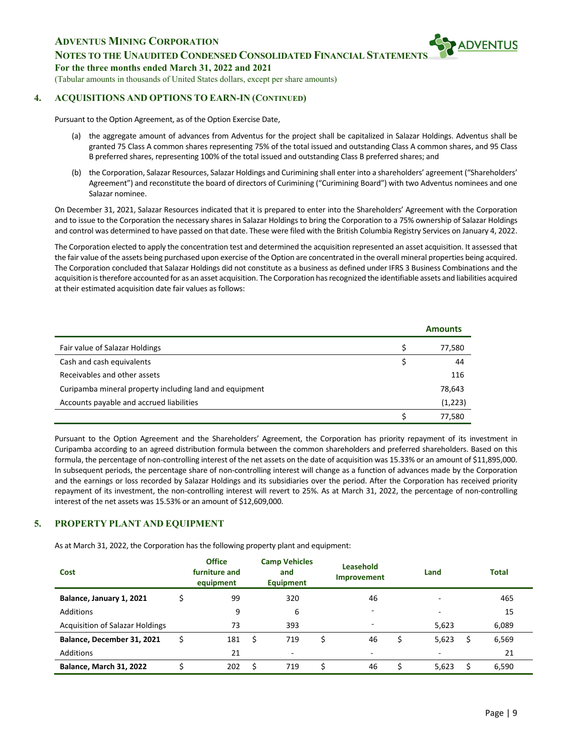**NOTES TO THE UNAUDITED CONDENSED CONSOLIDATED FINANCIAL STATEMENT** 

**For the three months ended March 31, 2022 and 2021**

(Tabular amounts in thousands of United States dollars, except per share amounts)

### **4. ACQUISITIONS AND OPTIONS TO EARN-IN (CONTINUED)**

Pursuant to the Option Agreement, as of the Option Exercise Date,

- (a) the aggregate amount of advances from Adventus for the project shall be capitalized in Salazar Holdings. Adventus shall be granted 75 Class A common shares representing 75% of the total issued and outstanding Class A common shares, and 95 Class B preferred shares, representing 100% of the total issued and outstanding Class B preferred shares; and
- (b) the Corporation, Salazar Resources, Salazar Holdings and Curimining shall enter into a shareholders' agreement ("Shareholders' Agreement") and reconstitute the board of directors of Curimining ("Curimining Board") with two Adventus nominees and one Salazar nominee.

On December 31, 2021, Salazar Resources indicated that it is prepared to enter into the Shareholders' Agreement with the Corporation and to issue to the Corporation the necessary shares in Salazar Holdings to bring the Corporation to a 75% ownership of Salazar Holdings and control was determined to have passed on that date. These were filed with the British Columbia Registry Services on January 4, 2022.

The Corporation elected to apply the concentration test and determined the acquisition represented an asset acquisition. It assessed that the fair value of the assets being purchased upon exercise of the Option are concentrated in the overall mineral properties being acquired. The Corporation concluded that Salazar Holdings did not constitute as a business as defined under IFRS 3 Business Combinations and the acquisition is therefore accounted for as an asset acquisition. The Corporation has recognized the identifiable assets and liabilities acquired at their estimated acquisition date fair values as follows:

|                                                         | <b>Amounts</b> |
|---------------------------------------------------------|----------------|
| Fair value of Salazar Holdings                          | 77,580         |
| Cash and cash equivalents                               | 44             |
| Receivables and other assets                            | 116            |
| Curipamba mineral property including land and equipment | 78,643         |
| Accounts payable and accrued liabilities                | (1,223)        |
|                                                         | 77,580         |

Pursuant to the Option Agreement and the Shareholders' Agreement, the Corporation has priority repayment of its investment in Curipamba according to an agreed distribution formula between the common shareholders and preferred shareholders. Based on this formula, the percentage of non-controlling interest of the net assets on the date of acquisition was 15.33% or an amount of \$11,895,000. In subsequent periods, the percentage share of non-controlling interest will change as a function of advances made by the Corporation and the earnings or loss recorded by Salazar Holdings and its subsidiaries over the period. After the Corporation has received priority repayment of its investment, the non-controlling interest will revert to 25%. As at March 31, 2022, the percentage of non-controlling interest of the net assets was 15.53% or an amount of \$12,609,000.

## **5. PROPERTY PLANT AND EQUIPMENT**

As at March 31, 2022, the Corporation has the following property plant and equipment:

| Cost                                   | <b>Office</b><br>furniture and<br>equipment | <b>Camp Vehicles</b><br>and<br><b>Equipment</b> | <b>Leasehold</b><br>Improvement | Land                     | <b>Total</b> |  |
|----------------------------------------|---------------------------------------------|-------------------------------------------------|---------------------------------|--------------------------|--------------|--|
| Balance, January 1, 2021               | 99                                          | 320                                             | 46                              |                          | 465          |  |
| Additions                              | 9                                           | 6                                               |                                 | $\overline{\phantom{a}}$ | 15           |  |
| <b>Acquisition of Salazar Holdings</b> | 73                                          | 393                                             |                                 | 5,623                    | 6,089        |  |
| Balance, December 31, 2021             | 181                                         | 719                                             | 46                              | \$<br>5,623              | 6,569        |  |
| Additions                              | 21                                          | $\overline{\phantom{0}}$                        |                                 | ۰                        | 21           |  |
| <b>Balance, March 31, 2022</b>         | 202                                         | 719                                             | 46                              | 5.623                    | 6.590        |  |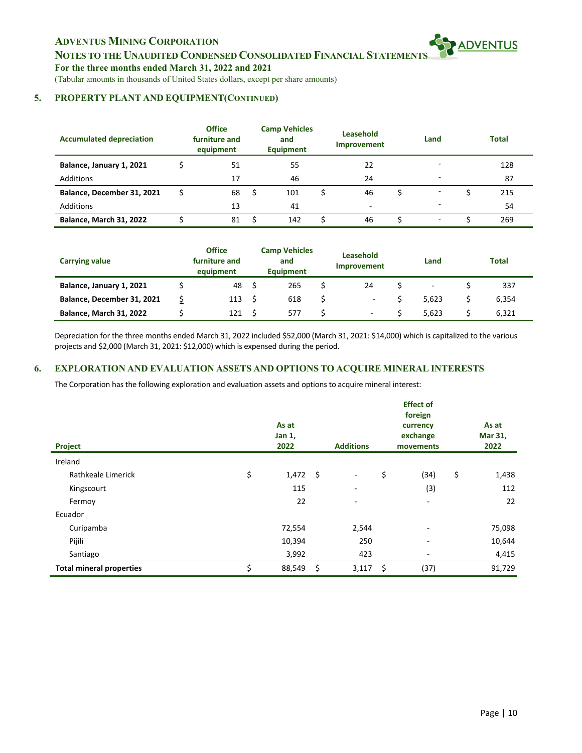**NOTES TO THE UNAUDITED CONDENSED CONSOLIDATED FINANCIAL STATEMENTS**

**For the three months ended March 31, 2022 and 2021**

(Tabular amounts in thousands of United States dollars, except per share amounts)

### **5. PROPERTY PLANT AND EQUIPMENT(CONTINUED)**

| <b>Accumulated depreciation</b> | <b>Office</b><br>furniture and<br>equipment | <b>Camp Vehicles</b><br>and<br><b>Equipment</b> | Leasehold<br>Improvement | Land                     | <b>Total</b> |
|---------------------------------|---------------------------------------------|-------------------------------------------------|--------------------------|--------------------------|--------------|
| Balance, January 1, 2021        | 51                                          | 55                                              | 22                       |                          | 128          |
| <b>Additions</b>                | 17                                          | 46                                              | 24                       |                          | 87           |
| Balance, December 31, 2021      | 68                                          | 101                                             | 46                       | $\overline{\phantom{0}}$ | 215          |
| Additions                       | 13                                          | 41                                              | $\sim$                   | $\overline{\phantom{0}}$ | 54           |
| Balance, March 31, 2022         | 81                                          | 142                                             | 46                       | $\overline{\phantom{a}}$ | 269          |

| <b>Carrying value</b>          | <b>Office</b><br>furniture and<br>equipment | <b>Camp Vehicles</b><br>and<br>Equipment |  | <b>Leasehold</b><br>Improvement |  | Land  | <b>Total</b> |       |  |
|--------------------------------|---------------------------------------------|------------------------------------------|--|---------------------------------|--|-------|--------------|-------|--|
| Balance, January 1, 2021       | 48                                          | 265                                      |  | 24                              |  | ٠     |              | 337   |  |
| Balance, December 31, 2021     | 113                                         | 618                                      |  | $\overline{\phantom{a}}$        |  | 5.623 |              | 6,354 |  |
| <b>Balance, March 31, 2022</b> | 121                                         | 577                                      |  | ۰                               |  | 5.623 |              | 6.321 |  |

Depreciation for the three months ended March 31, 2022 included \$52,000 (March 31, 2021: \$14,000) which is capitalized to the various projects and \$2,000 (March 31, 2021: \$12,000) which is expensed during the period.

# **6. EXPLORATION AND EVALUATION ASSETS AND OPTIONS TO ACQUIRE MINERAL INTERESTS**

The Corporation has the following exploration and evaluation assets and options to acquire mineral interest:

| Project                         | As at<br>Jan 1,<br>2022 |     | <b>Additions</b>         | <b>Effect of</b><br>foreign<br>currency<br>exchange<br>movements | As at<br>Mar 31,<br>2022 |
|---------------------------------|-------------------------|-----|--------------------------|------------------------------------------------------------------|--------------------------|
| Ireland                         |                         |     |                          |                                                                  |                          |
| Rathkeale Limerick              | \$<br>$1,472$ \$        |     | $\overline{\phantom{a}}$ | \$<br>(34)                                                       | \$<br>1,438              |
| Kingscourt                      | 115                     |     | ٠                        | (3)                                                              | 112                      |
| Fermoy                          | 22                      |     | $\overline{\phantom{a}}$ | $\sim$                                                           | 22                       |
| Ecuador                         |                         |     |                          |                                                                  |                          |
| Curipamba                       | 72,554                  |     | 2,544                    | ۰                                                                | 75,098                   |
| Pijilí                          | 10,394                  |     | 250                      | ۰                                                                | 10,644                   |
| Santiago                        | 3,992                   |     | 423                      | $\sim$                                                           | 4,415                    |
| <b>Total mineral properties</b> | \$<br>88,549            | -\$ | 3,117                    | \$<br>(37)                                                       | 91,729                   |

**SPADVENTUS**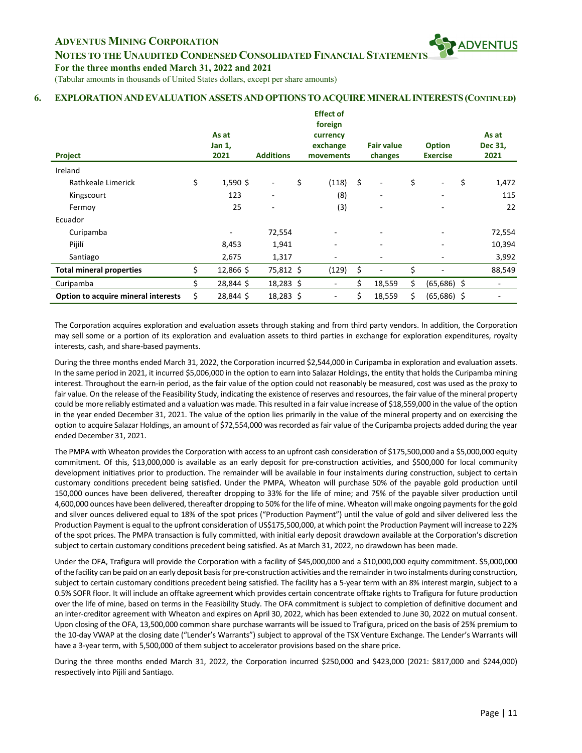**NOTES TO THE UNAUDITED CONDENSED CONSOLIDATED FINANCIAL STATEMENT** 

**For the three months ended March 31, 2022 and 2021**

(Tabular amounts in thousands of United States dollars, except per share amounts)

#### **6. EXPLORATIONANDEVALUATIONASSETSANDOPTIONSTOACQUIREMINERALINTERESTS(CONTINUED)**

| Project                             |    | As at<br>Jan 1,<br>2021 | <b>Additions</b>         | <b>Effect of</b><br>foreign<br>currency<br>exchange<br>movements | <b>Fair value</b><br>changes | <b>Option</b><br><b>Exercise</b> | As at<br>Dec 31,<br>2021 |
|-------------------------------------|----|-------------------------|--------------------------|------------------------------------------------------------------|------------------------------|----------------------------------|--------------------------|
| Ireland                             |    |                         |                          |                                                                  |                              |                                  |                          |
| Rathkeale Limerick                  | \$ | $1,590$ \$              | $\overline{\phantom{a}}$ | \$<br>$(118)$ \$                                                 | $\overline{\phantom{a}}$     | \$<br>$\overline{\phantom{a}}$   | \$<br>1,472              |
| Kingscourt                          |    | 123                     | $\overline{\phantom{m}}$ | (8)                                                              | $\overline{\phantom{0}}$     | $\overline{\phantom{a}}$         | 115                      |
| Fermoy                              |    | 25                      | ٠                        | (3)                                                              |                              |                                  | 22                       |
| Ecuador                             |    |                         |                          |                                                                  |                              |                                  |                          |
| Curipamba                           |    |                         | 72,554                   | ٠                                                                |                              |                                  | 72,554                   |
| Pijilí                              |    | 8,453                   | 1,941                    | $\overline{\phantom{m}}$                                         | ۰                            | $\overline{\phantom{a}}$         | 10,394                   |
| Santiago                            |    | 2,675                   | 1,317                    | ۰.                                                               |                              |                                  | 3,992                    |
| <b>Total mineral properties</b>     | \$ | 12,866 \$               | 75,812 \$                | (129)                                                            | \$                           | \$<br>$\overline{a}$             | 88,549                   |
| Curipamba                           | Ś. | 28,844 \$               | 18,283 \$                | $\overline{\phantom{a}}$                                         | \$<br>18,559                 | \$<br>$(65,686)$ \$              | $\overline{a}$           |
| Option to acquire mineral interests | \$ | 28,844 \$               | 18,283 \$                | Ξ.                                                               | \$<br>18,559                 | \$<br>$(65,686)$ \$              |                          |

The Corporation acquires exploration and evaluation assets through staking and from third party vendors. In addition, the Corporation may sell some or a portion of its exploration and evaluation assets to third parties in exchange for exploration expenditures, royalty interests, cash, and share-based payments.

During the three months ended March 31, 2022, the Corporation incurred \$2,544,000 in Curipamba in exploration and evaluation assets. In the same period in 2021, it incurred \$5,006,000 in the option to earn into Salazar Holdings, the entity that holds the Curipamba mining interest. Throughout the earn-in period, as the fair value of the option could not reasonably be measured, cost was used as the proxy to fair value. On the release of the Feasibility Study, indicating the existence of reserves and resources, the fair value of the mineral property could be more reliably estimated and a valuation was made. This resulted in a fair value increase of \$18,559,000 in the value of the option in the year ended December 31, 2021. The value of the option lies primarily in the value of the mineral property and on exercising the option to acquire Salazar Holdings, an amount of \$72,554,000 was recorded as fair value of the Curipamba projects added during the year ended December 31, 2021.

The PMPA with Wheaton provides the Corporation with access to an upfront cash consideration of \$175,500,000 and a \$5,000,000 equity commitment. Of this, \$13,000,000 is available as an early deposit for pre-construction activities, and \$500,000 for local community development initiatives prior to production. The remainder will be available in four instalments during construction, subject to certain customary conditions precedent being satisfied. Under the PMPA, Wheaton will purchase 50% of the payable gold production until 150,000 ounces have been delivered, thereafter dropping to 33% for the life of mine; and 75% of the payable silver production until 4,600,000 ounces have been delivered, thereafter dropping to 50% for the life of mine. Wheaton will make ongoing payments for the gold and silver ounces delivered equal to 18% of the spot prices ("Production Payment") until the value of gold and silver delivered less the Production Payment is equal to the upfront consideration of US\$175,500,000, at which point the Production Payment will increase to 22% of the spot prices. The PMPA transaction is fully committed, with initial early deposit drawdown available at the Corporation's discretion subject to certain customary conditions precedent being satisfied. As at March 31, 2022, no drawdown has been made.

Under the OFA, Trafigura will provide the Corporation with a facility of \$45,000,000 and a \$10,000,000 equity commitment. \$5,000,000 of the facility can be paid on an early deposit basis for pre-construction activities and the remainder in two instalments during construction, subject to certain customary conditions precedent being satisfied. The facility has a 5-year term with an 8% interest margin, subject to a 0.5% SOFR floor. It will include an offtake agreement which provides certain concentrate offtake rights to Trafigura for future production over the life of mine, based on terms in the Feasibility Study. The OFA commitment is subject to completion of definitive document and an inter-creditor agreement with Wheaton and expires on April 30, 2022, which has been extended to June 30, 2022 on mutual consent. Upon closing of the OFA, 13,500,000 common share purchase warrants will be issued to Trafigura, priced on the basis of 25% premium to the 10-day VWAP at the closing date ("Lender's Warrants") subject to approval of the TSX Venture Exchange. The Lender's Warrants will have a 3-year term, with 5,500,000 of them subject to accelerator provisions based on the share price.

During the three months ended March 31, 2022, the Corporation incurred \$250,000 and \$423,000 (2021: \$817,000 and \$244,000) respectively into Pijilí and Santiago.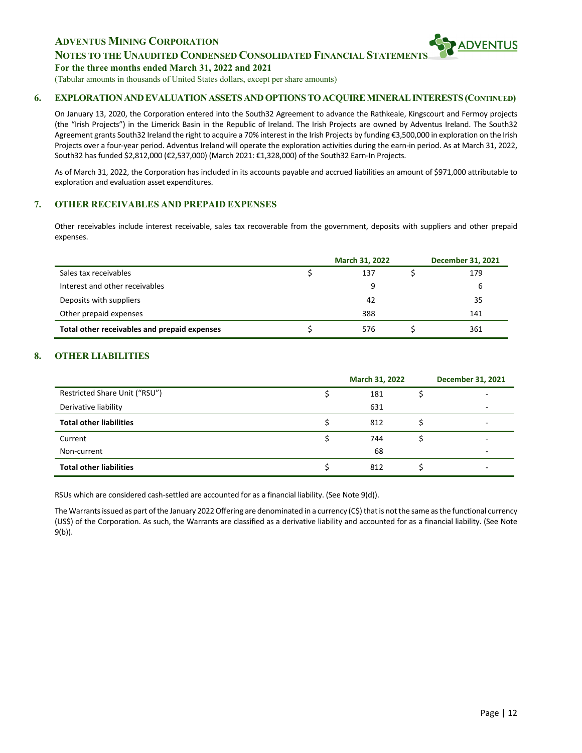## **NOTES TO THE UNAUDITED CONDENSED CONSOLIDATED FINANCIAL STATEMENT**

**For the three months ended March 31, 2022 and 2021**

(Tabular amounts in thousands of United States dollars, except per share amounts)

#### **6. EXPLORATIONANDEVALUATIONASSETSANDOPTIONSTOACQUIREMINERALINTERESTS(CONTINUED)**

On January 13, 2020, the Corporation entered into the South32 Agreement to advance the Rathkeale, Kingscourt and Fermoy projects (the "Irish Projects") in the Limerick Basin in the Republic of Ireland. The Irish Projects are owned by Adventus Ireland. The South32 Agreement grants South32 Ireland the right to acquire a 70% interest in the Irish Projects by funding €3,500,000 in exploration on the Irish Projects over a four-year period. Adventus Ireland will operate the exploration activities during the earn-in period. As at March 31, 2022, South32 has funded \$2,812,000 (€2,537,000) (March 2021: €1,328,000) of the South32 Earn-In Projects.

As of March 31, 2022, the Corporation has included in its accounts payable and accrued liabilities an amount of \$971,000 attributable to exploration and evaluation asset expenditures.

### **7. OTHER RECEIVABLES AND PREPAID EXPENSES**

Other receivables include interest receivable, sales tax recoverable from the government, deposits with suppliers and other prepaid expenses.

|                                              | <b>March 31, 2022</b> | <b>December 31, 2021</b> |
|----------------------------------------------|-----------------------|--------------------------|
| Sales tax receivables                        | 137                   | 179                      |
| Interest and other receivables               | 9                     | 6                        |
| Deposits with suppliers                      | 42                    | 35                       |
| Other prepaid expenses                       | 388                   | 141                      |
| Total other receivables and prepaid expenses | 576                   | 361                      |

## **8. OTHER LIABILITIES**

|                                | March 31, 2022 | <b>December 31, 2021</b> |
|--------------------------------|----------------|--------------------------|
| Restricted Share Unit ("RSU")  | 181            | $\overline{\phantom{0}}$ |
| Derivative liability           | 631            | $\overline{\phantom{0}}$ |
| <b>Total other liabilities</b> | 812            | -                        |
| Current                        | 744            |                          |
| Non-current                    | 68             | ۰                        |
| <b>Total other liabilities</b> | 812            |                          |

RSUs which are considered cash-settled are accounted for as a financial liability. (See Note 9(d)).

The Warrants issued as part of the January 2022 Offering are denominated in a currency  $(C<sub>s</sub>)$  that is not the same as the functional currency (US\$) of the Corporation. As such, the Warrants are classified as a derivative liability and accounted for as a financial liability. (See Note 9(b)).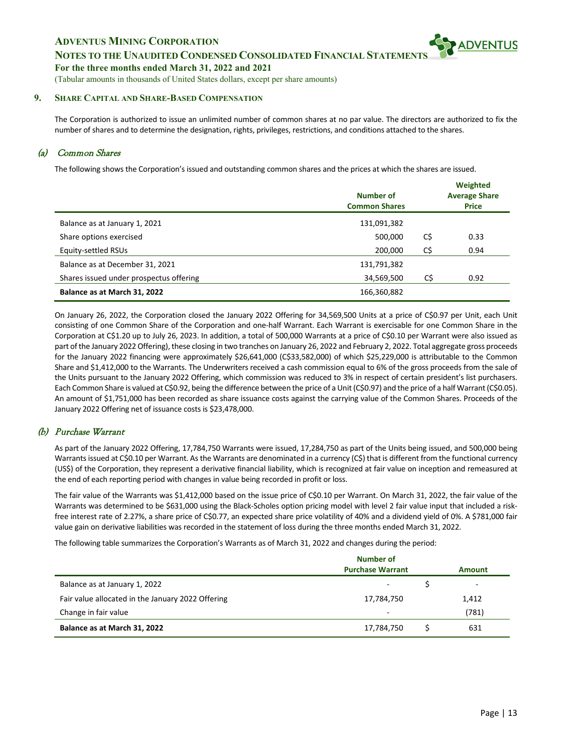## **NOTES TO THE UNAUDITED CONDENSED CONSOLIDATED FINANCIAL STATEMENT**

**For the three months ended March 31, 2022 and 2021**

(Tabular amounts in thousands of United States dollars, except per share amounts)

#### **9. SHARE CAPITAL AND SHARE-BASED COMPENSATION**

The Corporation is authorized to issue an unlimited number of common shares at no par value. The directors are authorized to fix the number of shares and to determine the designation, rights, privileges, restrictions, and conditions attached to the shares.

#### (a) Common Shares

The following shows the Corporation's issued and outstanding common shares and the prices at which the shares are issued.

|                                         | Number of<br><b>Common Shares</b> |     | Weighted<br><b>Average Share</b><br><b>Price</b> |
|-----------------------------------------|-----------------------------------|-----|--------------------------------------------------|
| Balance as at January 1, 2021           | 131,091,382                       |     |                                                  |
| Share options exercised                 | 500,000                           | C\$ | 0.33                                             |
| Equity-settled RSUs                     | 200,000                           | C\$ | 0.94                                             |
| Balance as at December 31, 2021         | 131,791,382                       |     |                                                  |
| Shares issued under prospectus offering | 34,569,500                        | C\$ | 0.92                                             |
| Balance as at March 31, 2022            | 166,360,882                       |     |                                                  |

On January 26, 2022, the Corporation closed the January 2022 Offering for 34,569,500 Units at a price of C\$0.97 per Unit, each Unit consisting of one Common Share of the Corporation and one-half Warrant. Each Warrant is exercisable for one Common Share in the Corporation at C\$1.20 up to July 26, 2023. In addition, a total of 500,000 Warrants at a price of C\$0.10 per Warrant were also issued as part of the January 2022 Offering), these closing in two tranches on January 26, 2022 and February 2, 2022. Total aggregate gross proceeds for the January 2022 financing were approximately \$26,641,000 (C\$33,582,000) of which \$25,229,000 is attributable to the Common Share and \$1,412,000 to the Warrants. The Underwriters received a cash commission equal to 6% of the gross proceeds from the sale of the Units pursuant to the January 2022 Offering, which commission was reduced to 3% in respect of certain president's list purchasers. Each Common Share is valued at C\$0.92, being the difference between the price of a Unit (C\$0.97) and the price of a half Warrant (C\$0.05). An amount of \$1,751,000 has been recorded as share issuance costs against the carrying value of the Common Shares. Proceeds of the January 2022 Offering net of issuance costs is \$23,478,000.

## (b) Purchase Warrant

As part of the January 2022 Offering, 17,784,750 Warrants were issued, 17,284,750 as part of the Units being issued, and 500,000 being Warrants issued at C\$0.10 per Warrant. As the Warrants are denominated in a currency (C\$) that is different from the functional currency (US\$) of the Corporation, they represent a derivative financial liability, which is recognized at fair value on inception and remeasured at the end of each reporting period with changes in value being recorded in profit or loss.

The fair value of the Warrants was \$1,412,000 based on the issue price of C\$0.10 per Warrant. On March 31, 2022, the fair value of the Warrants was determined to be \$631,000 using the Black-Scholes option pricing model with level 2 fair value input that included a riskfree interest rate of 2.27%, a share price of C\$0.77, an expected share price volatility of 40% and a dividend yield of 0%. A \$781,000 fair value gain on derivative liabilities was recorded in the statement of loss during the three months ended March 31, 2022.

The following table summarizes the Corporation's Warrants as of March 31, 2022 and changes during the period:

|                                                   | Number of                |        |
|---------------------------------------------------|--------------------------|--------|
|                                                   | <b>Purchase Warrant</b>  | Amount |
| Balance as at January 1, 2022                     | -                        | -      |
| Fair value allocated in the January 2022 Offering | 17,784,750               | 1,412  |
| Change in fair value                              | $\overline{\phantom{a}}$ | (781)  |
| Balance as at March 31, 2022                      | 17,784,750               | 631    |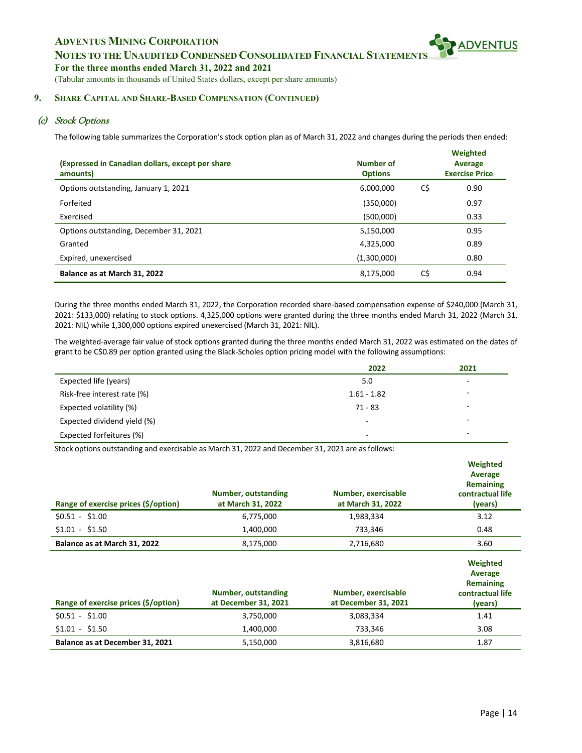**NOTES TO THE UNAUDITED CONDENSED CONSOLIDATED FINANCIAL STATEMENT** 

**For the three months ended March 31, 2022 and 2021**

(Tabular amounts in thousands of United States dollars, except per share amounts)

### **9. SHARE CAPITAL AND SHARE-BASED COMPENSATION (CONTINUED)**

# (c) Stock Options

The following table summarizes the Corporation's stock option plan as of March 31, 2022 and changes during the periods then ended:

| (Expressed in Canadian dollars, except per share<br>amounts) | Number of<br><b>Options</b> |     | Weighted<br>Average<br><b>Exercise Price</b> |
|--------------------------------------------------------------|-----------------------------|-----|----------------------------------------------|
| Options outstanding, January 1, 2021                         | 6,000,000                   | C\$ | 0.90                                         |
| Forfeited                                                    | (350,000)                   |     | 0.97                                         |
| Exercised                                                    | (500,000)                   |     | 0.33                                         |
| Options outstanding, December 31, 2021                       | 5,150,000                   |     | 0.95                                         |
| Granted                                                      | 4,325,000                   |     | 0.89                                         |
| Expired, unexercised                                         | (1,300,000)                 |     | 0.80                                         |
| Balance as at March 31, 2022                                 | 8,175,000                   | C\$ | 0.94                                         |

During the three months ended March 31, 2022, the Corporation recorded share-based compensation expense of \$240,000 (March 31, 2021: \$133,000) relating to stock options. 4,325,000 options were granted during the three months ended March 31, 2022 (March 31, 2021: NIL) while 1,300,000 options expired unexercised (March 31, 2021: NIL).

The weighted-average fair value of stock options granted during the three months ended March 31, 2022 was estimated on the dates of grant to be C\$0.89 per option granted using the Black-Scholes option pricing model with the following assumptions:

|                             | 2022           | 2021                     |
|-----------------------------|----------------|--------------------------|
| Expected life (years)       | 5.0            |                          |
| Risk-free interest rate (%) | $1.61 - 1.82$  | -                        |
| Expected volatility (%)     | $71 - 83$      |                          |
| Expected dividend yield (%) | $\overline{a}$ |                          |
| Expected forfeitures (%)    | -              | $\overline{\phantom{0}}$ |

Stock options outstanding and exercisable as March 31, 2022 and December 31, 2021 are as follows:

| Range of exercise prices (\$/option) | Number, outstanding<br>at March 31, 2022    | Number, exercisable<br>at March 31, 2022    | Weighted<br>Average<br><b>Remaining</b><br>contractual life<br>(years) |
|--------------------------------------|---------------------------------------------|---------------------------------------------|------------------------------------------------------------------------|
| $$0.51 - $1.00$                      | 6,775,000                                   | 1,983,334                                   | 3.12                                                                   |
| $$1.01 - $1.50$                      | 1,400,000                                   | 733,346                                     | 0.48                                                                   |
| Balance as at March 31, 2022         | 8,175,000                                   | 2,716,680                                   | 3.60                                                                   |
| Range of exercise prices (\$/option) | Number, outstanding<br>at December 31, 2021 | Number, exercisable<br>at December 31, 2021 | Weighted<br>Average<br><b>Remaining</b><br>contractual life<br>(years) |
| $$0.51 - $1.00$                      | 3,750,000                                   | 3,083,334                                   | 1.41                                                                   |

\$1.01 - \$1.50 1,400,000 733,346 3.08 **Balance as at December 31, 2021** 5,150,000 5,150,000 3,816,680 5,150,000 5,187

**SPADVENTUS**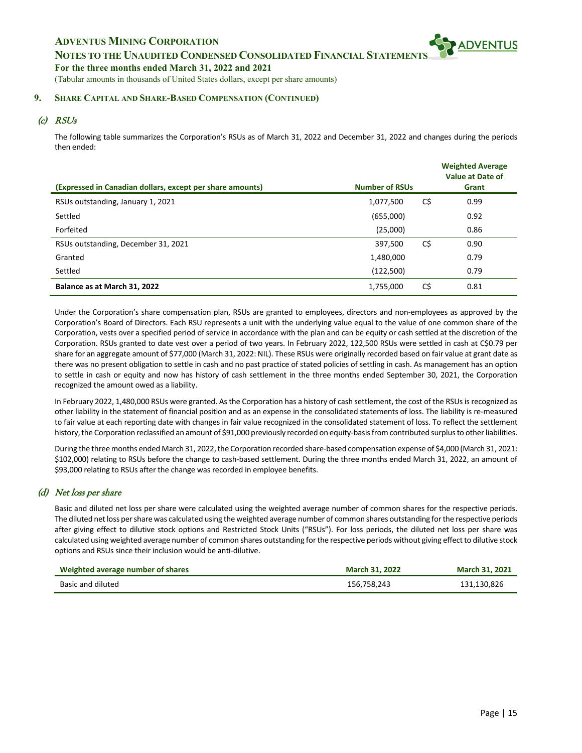**NOTES TO THE UNAUDITED CONDENSED CONSOLIDATED FINANCIAL STATEMENT** 

**For the three months ended March 31, 2022 and 2021**

(Tabular amounts in thousands of United States dollars, except per share amounts)

#### **9. SHARE CAPITAL AND SHARE-BASED COMPENSATION (CONTINUED)**

# (c) RSUs

The following table summarizes the Corporation's RSUs as of March 31, 2022 and December 31, 2022 and changes during the periods then ended:

|                                                           |                       |     | <b>Weighted Average</b><br>Value at Date of |
|-----------------------------------------------------------|-----------------------|-----|---------------------------------------------|
| (Expressed in Canadian dollars, except per share amounts) | <b>Number of RSUs</b> |     | Grant                                       |
| RSUs outstanding, January 1, 2021                         | 1,077,500             | C\$ | 0.99                                        |
| Settled                                                   | (655,000)             |     | 0.92                                        |
| Forfeited                                                 | (25,000)              |     | 0.86                                        |
| RSUs outstanding, December 31, 2021                       | 397,500               | C\$ | 0.90                                        |
| Granted                                                   | 1,480,000             |     | 0.79                                        |
| Settled                                                   | (122,500)             |     | 0.79                                        |
| Balance as at March 31, 2022                              | 1,755,000             | C\$ | 0.81                                        |

Under the Corporation's share compensation plan, RSUs are granted to employees, directors and non-employees as approved by the Corporation's Board of Directors. Each RSU represents a unit with the underlying value equal to the value of one common share of the Corporation, vests over a specified period of service in accordance with the plan and can be equity or cash settled at the discretion of the Corporation. RSUs granted to date vest over a period of two years. In February 2022, 122,500 RSUs were settled in cash at C\$0.79 per share for an aggregate amount of \$77,000 (March 31, 2022: NIL). These RSUs were originally recorded based on fair value at grant date as there was no present obligation to settle in cash and no past practice of stated policies of settling in cash. As management has an option to settle in cash or equity and now has history of cash settlement in the three months ended September 30, 2021, the Corporation recognized the amount owed as a liability.

In February 2022, 1,480,000 RSUs were granted. As the Corporation has a history of cash settlement, the cost of the RSUs is recognized as other liability in the statement of financial position and as an expense in the consolidated statements of loss. The liability is re-measured to fair value at each reporting date with changes in fair value recognized in the consolidated statement of loss. To reflect the settlement history, the Corporation reclassified an amount of \$91,000 previously recorded on equity-basis from contributed surplus to other liabilities.

During the three months ended March 31, 2022, the Corporation recorded share-based compensation expense of \$4,000 (March 31, 2021: \$102,000) relating to RSUs before the change to cash-based settlement. During the three months ended March 31, 2022, an amount of \$93,000 relating to RSUs after the change was recorded in employee benefits.

## (d) Net loss per share

Basic and diluted net loss per share were calculated using the weighted average number of common shares for the respective periods. The diluted net loss per share was calculated using the weighted average number of common shares outstanding for the respective periods after giving effect to dilutive stock options and Restricted Stock Units ("RSUs"). For loss periods, the diluted net loss per share was calculated using weighted average number of common shares outstanding for the respective periods without giving effect to dilutive stock options and RSUs since their inclusion would be anti-dilutive.

| Weighted average number of shares | <b>March 31, 2022</b> | <b>March 31, 2021</b> |
|-----------------------------------|-----------------------|-----------------------|
| Basic and diluted                 | 156.758.243           | 131,130,826           |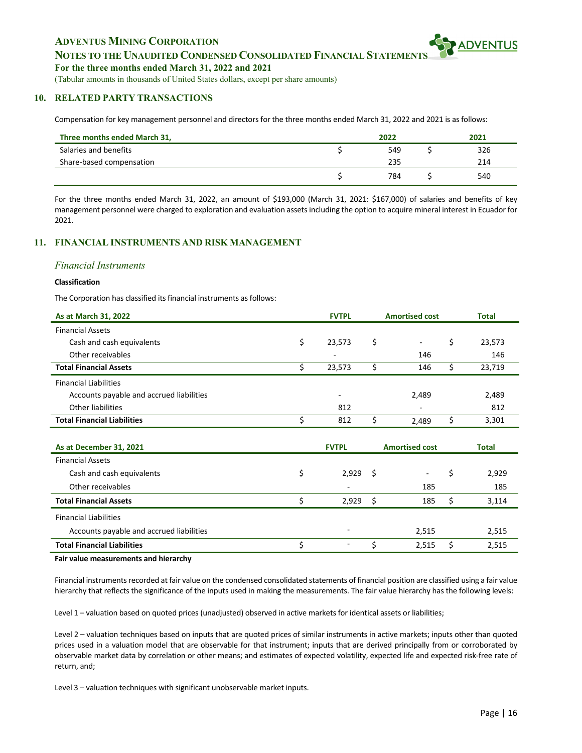## **NOTES TO THE UNAUDITED CONDENSED CONSOLIDATED FINANCIAL STATEMENT**

#### **For the three months ended March 31, 2022 and 2021**

(Tabular amounts in thousands of United States dollars, except per share amounts)

#### **10. RELATED PARTY TRANSACTIONS**

Compensation for key management personnel and directors for the three months ended March 31, 2022 and 2021 is as follows:

| Three months ended March 31, | 2022 | 2021 |
|------------------------------|------|------|
| Salaries and benefits        | 549  | 326  |
| Share-based compensation     | 235  | 214  |
|                              | 784  | 540  |

For the three months ended March 31, 2022, an amount of \$193,000 (March 31, 2021: \$167,000) of salaries and benefits of key management personnel were charged to exploration and evaluation assets including the option to acquire mineral interest in Ecuador for 2021.

#### **11. FINANCIAL INSTRUMENTS AND RISK MANAGEMENT**

#### *Financial Instruments*

#### **Classification**

The Corporation has classified its financial instruments as follows:

| As at March 31, 2022                     | <b>FVTPL</b> | <b>Amortised cost</b> | <b>Total</b> |
|------------------------------------------|--------------|-----------------------|--------------|
| <b>Financial Assets</b>                  |              |                       |              |
| Cash and cash equivalents                | \$<br>23,573 | \$<br>$\blacksquare$  | \$<br>23,573 |
| Other receivables                        |              | 146                   | 146          |
| <b>Total Financial Assets</b>            | \$<br>23,573 | \$<br>146             | \$<br>23,719 |
| <b>Financial Liabilities</b>             |              |                       |              |
| Accounts payable and accrued liabilities |              | 2,489                 | 2,489        |
| <b>Other liabilities</b>                 | 812          |                       | 812          |
| <b>Total Financial Liabilities</b>       | \$<br>812    | \$<br>2,489           | \$<br>3,301  |
|                                          |              |                       |              |
|                                          |              |                       |              |
| As at December 31, 2021                  | <b>FVTPL</b> | <b>Amortised cost</b> | <b>Total</b> |
| <b>Financial Assets</b>                  |              |                       |              |
| Cash and cash equivalents                | \$<br>2,929  | \$                    | \$<br>2,929  |
| Other receivables                        |              | 185                   | 185          |
| <b>Total Financial Assets</b>            | \$<br>2,929  | \$<br>185             | \$<br>3,114  |
| <b>Financial Liabilities</b>             |              |                       |              |
| Accounts payable and accrued liabilities |              | 2,515                 | 2,515        |
| <b>Total Financial Liabilities</b>       | \$           | \$<br>2,515           | \$<br>2,515  |

Financial instruments recorded at fair value on the condensed consolidated statements of financial position are classified using a fair value hierarchy that reflects the significance of the inputs used in making the measurements. The fair value hierarchy has the following levels:

Level 1 – valuation based on quoted prices (unadjusted) observed in active markets for identical assets or liabilities;

Level 2 – valuation techniques based on inputs that are quoted prices of similar instruments in active markets; inputs other than quoted prices used in a valuation model that are observable for that instrument; inputs that are derived principally from or corroborated by observable market data by correlation or other means; and estimates of expected volatility, expected life and expected risk-free rate of return, and;

Level 3 – valuation techniques with significant unobservable market inputs.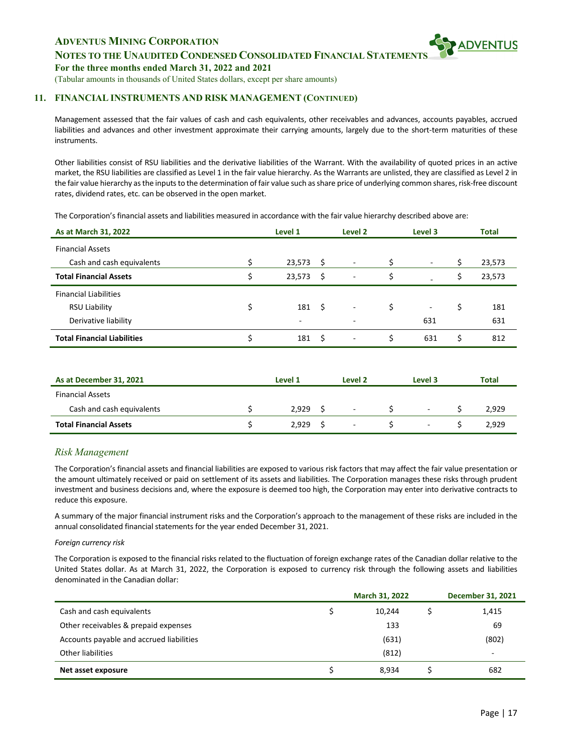

**For the three months ended March 31, 2022 and 2021**

(Tabular amounts in thousands of United States dollars, except per share amounts)

#### **11. FINANCIAL INSTRUMENTS AND RISK MANAGEMENT (CONTINUED)**

Management assessed that the fair values of cash and cash equivalents, other receivables and advances, accounts payables, accrued liabilities and advances and other investment approximate their carrying amounts, largely due to the short-term maturities of these instruments.

Other liabilities consist of RSU liabilities and the derivative liabilities of the Warrant. With the availability of quoted prices in an active market, the RSU liabilities are classified as Level 1 in the fair value hierarchy. As the Warrants are unlisted, they are classified as Level 2 in the fair value hierarchy as the inputs to the determination of fair value such as share price of underlying common shares, risk-free discount rates, dividend rates, etc. can be observed in the open market.

The Corporation's financial assets and liabilities measured in accordance with the fair value hierarchy described above are:

| As at March 31, 2022               | Level 1      |    | Level 2                  | Level 3 |    | <b>Total</b> |
|------------------------------------|--------------|----|--------------------------|---------|----|--------------|
| <b>Financial Assets</b>            |              |    |                          |         |    |              |
| Cash and cash equivalents          | 23,573       | S  | $\overline{\phantom{a}}$ | $\sim$  |    | 23,573       |
| <b>Total Financial Assets</b>      | \$<br>23,573 | S  | $\overline{\phantom{a}}$ | \$      | S  | 23,573       |
| <b>Financial Liabilities</b>       |              |    |                          |         |    |              |
| <b>RSU Liability</b>               | 181          | Ŝ. | $\overline{\phantom{a}}$ | \$<br>۰ | \$ | 181          |
| Derivative liability               | ۰            |    | $\overline{\phantom{a}}$ | 631     |    | 631          |
| <b>Total Financial Liabilities</b> | 181          | Ŝ  | $\overline{\phantom{a}}$ | 631     | Ś  | 812          |

| As at December 31, 2021       | Level 1 | Level 2                  | Level 3 | Total |
|-------------------------------|---------|--------------------------|---------|-------|
| <b>Financial Assets</b>       |         |                          |         |       |
| Cash and cash equivalents     | 2.929   | $\sim$                   | ٠       | 2,929 |
| <b>Total Financial Assets</b> | 2.929   | $\overline{\phantom{a}}$ | $\sim$  | 2,929 |

## *Risk Management*

The Corporation's financial assets and financial liabilities are exposed to various risk factors that may affect the fair value presentation or the amount ultimately received or paid on settlement of its assets and liabilities. The Corporation manages these risks through prudent investment and business decisions and, where the exposure is deemed too high, the Corporation may enter into derivative contracts to reduce this exposure.

A summary of the major financial instrument risks and the Corporation's approach to the management of these risks are included in the annual consolidated financial statements for the year ended December 31, 2021.

#### *Foreign currency risk*

The Corporation is exposed to the financial risks related to the fluctuation of foreign exchange rates of the Canadian dollar relative to the United States dollar. As at March 31, 2022, the Corporation is exposed to currency risk through the following assets and liabilities denominated in the Canadian dollar:

|                                          | March 31, 2022 | <b>December 31, 2021</b> |
|------------------------------------------|----------------|--------------------------|
| Cash and cash equivalents                | 10,244         | 1,415                    |
| Other receivables & prepaid expenses     | 133            | 69                       |
| Accounts payable and accrued liabilities | (631)          | (802)                    |
| Other liabilities                        | (812)          | $\overline{\phantom{a}}$ |
| Net asset exposure                       | 8.934          | 682                      |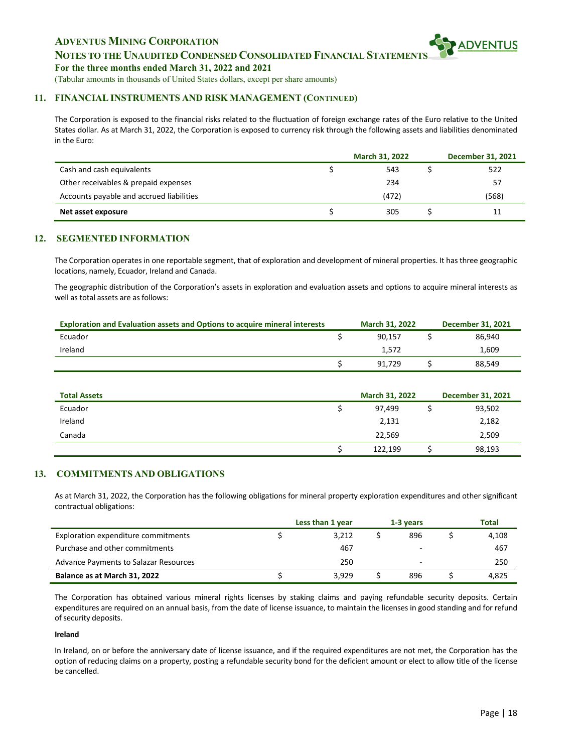## **NOTES TO THE UNAUDITED CONDENSED CONSOLIDATED FINANCIAL STATEMENT**

**For the three months ended March 31, 2022 and 2021**

(Tabular amounts in thousands of United States dollars, except per share amounts)

#### **11. FINANCIAL INSTRUMENTS AND RISK MANAGEMENT (CONTINUED)**

The Corporation is exposed to the financial risks related to the fluctuation of foreign exchange rates of the Euro relative to the United States dollar. As at March 31, 2022, the Corporation is exposed to currency risk through the following assets and liabilities denominated in the Euro:

|                                          | March 31, 2022 | <b>December 31, 2021</b> |
|------------------------------------------|----------------|--------------------------|
| Cash and cash equivalents                | 543            | 522                      |
| Other receivables & prepaid expenses     | 234            | 57                       |
| Accounts payable and accrued liabilities | (472)          | (568)                    |
| Net asset exposure                       | 305            | 11                       |

#### **12. SEGMENTED INFORMATION**

The Corporation operates in one reportable segment, that of exploration and development of mineral properties. It has three geographic locations, namely, Ecuador, Ireland and Canada.

The geographic distribution of the Corporation's assets in exploration and evaluation assets and options to acquire mineral interests as well as total assets are as follows:

| <b>Exploration and Evaluation assets and Options to acquire mineral interests</b> | <b>March 31, 2022</b> | December 31, 2021 |
|-----------------------------------------------------------------------------------|-----------------------|-------------------|
| Ecuador                                                                           | 90.157                | 86.940            |
| Ireland                                                                           | 1.572                 | 1.609             |
|                                                                                   | 91.729                | 88,549            |

| <b>Total Assets</b> | March 31, 2022 | <b>December 31, 2021</b> |
|---------------------|----------------|--------------------------|
| Ecuador             | 97,499         | 93,502                   |
| Ireland             | 2,131          | 2,182                    |
| Canada              | 22,569         | 2,509                    |
|                     | 122,199        | 98,193                   |

#### **13. COMMITMENTS AND OBLIGATIONS**

As at March 31, 2022, the Corporation has the following obligations for mineral property exploration expenditures and other significant contractual obligations:

|                                              | Less than 1 year | 1-3 years | <b>Total</b> |
|----------------------------------------------|------------------|-----------|--------------|
| Exploration expenditure commitments          | 3.212            | 896       | 4.108        |
| Purchase and other commitments               | 467              |           | 467          |
| <b>Advance Payments to Salazar Resources</b> | 250              | -         | 250          |
| Balance as at March 31, 2022                 | 3.929            | 896       | 4.825        |

The Corporation has obtained various mineral rights licenses by staking claims and paying refundable security deposits. Certain expenditures are required on an annual basis, from the date of license issuance, to maintain the licenses in good standing and for refund of security deposits.

#### **Ireland**

In Ireland, on or before the anniversary date of license issuance, and if the required expenditures are not met, the Corporation has the option of reducing claims on a property, posting a refundable security bond for the deficient amount or elect to allow title of the license be cancelled.